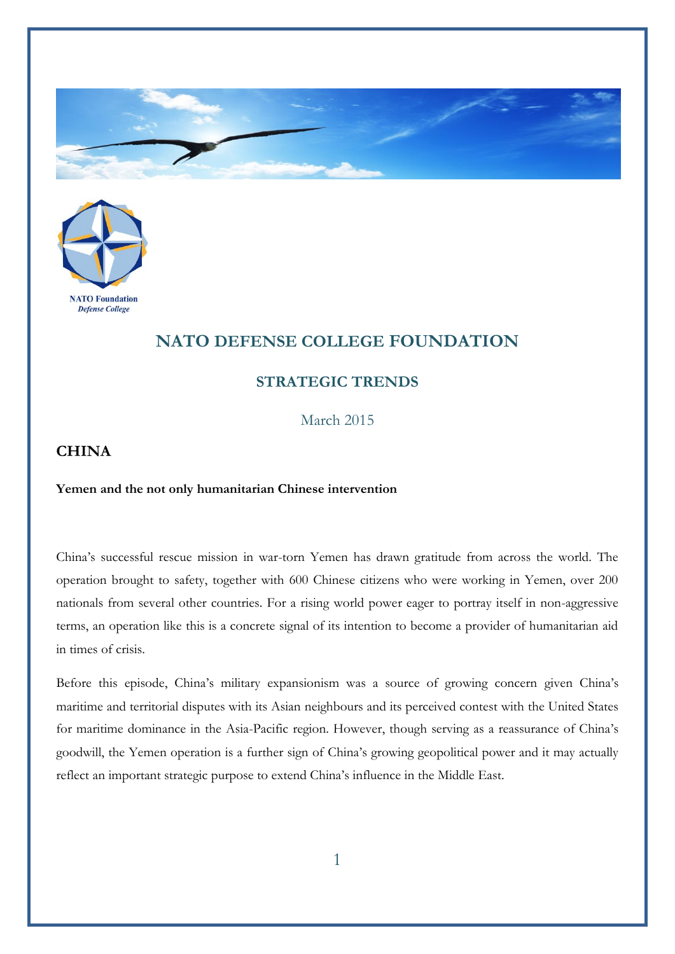



## **NATO DEFENSE COLLEGE FOUNDATION**

## **STRATEGIC TRENDS**

March 2015

## **CHINA**

## **Yemen and the not only humanitarian Chinese intervention**

China's successful rescue mission in war-torn Yemen has drawn gratitude from across the world. The operation brought to safety, together with 600 Chinese citizens who were working in Yemen, over 200 nationals from several other countries. For a rising world power eager to portray itself in non-aggressive terms, an operation like this is a concrete signal of its intention to become a provider of humanitarian aid in times of crisis.

Before this episode, China's military expansionism was a source of growing concern given China's maritime and territorial disputes with its Asian neighbours and its perceived contest with the United States for maritime dominance in the Asia-Pacific region. However, though serving as a reassurance of China's goodwill, the Yemen operation is a further sign of China's growing geopolitical power and it may actually reflect an important strategic purpose to extend China's influence in the Middle East.